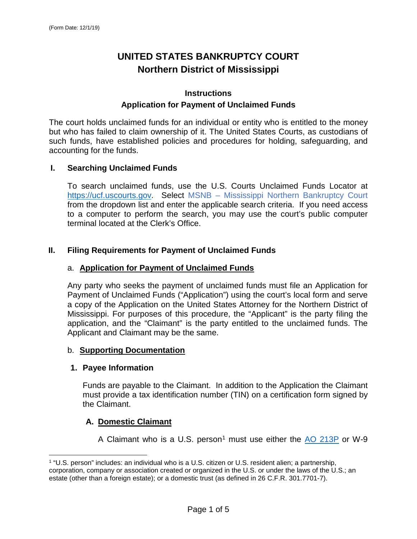# **UNITED STATES BANKRUPTCY COURT Northern District of Mississippi**

# **Instructions Application for Payment of Unclaimed Funds**

The court holds unclaimed funds for an individual or entity who is entitled to the money but who has failed to claim ownership of it. The United States Courts, as custodians of such funds, have established policies and procedures for holding, safeguarding, and accounting for the funds.

# **I. Searching Unclaimed Funds**

To search unclaimed funds, use the U.S. Courts Unclaimed Funds Locator at [https://ucf.uscourts.gov.](https://ucf.uscourts.gov/) Select MSNB – Mississippi Northern Bankruptcy Court from the dropdown list and enter the applicable search criteria. If you need access to a computer to perform the search, you may use the court's public computer terminal located at the Clerk's Office.

# **II. Filing Requirements for Payment of Unclaimed Funds**

# a. **Application for Payment of Unclaimed Funds**

Any party who seeks the payment of unclaimed funds must file an Application for Payment of Unclaimed Funds ("Application") using the court's local form and serve a copy of the Application on the United States Attorney for the Northern District of Mississippi. For purposes of this procedure, the "Applicant" is the party filing the application, and the "Claimant" is the party entitled to the unclaimed funds. The Applicant and Claimant may be the same.

#### b. **Supporting Documentation**

# **1. Payee Information**

Funds are payable to the Claimant. In addition to the Application the Claimant must provide a tax identification number (TIN) on a certification form signed by the Claimant.

# **A. Domestic Claimant**

A Claimant who is a U.S. person<sup>[1](#page-0-0)</sup> must use either the  $\overline{AO}$  213P or W-9

<span id="page-0-0"></span> <sup>1</sup> "U.S. person" includes: an individual who is a U.S. citizen or U.S. resident alien; a partnership,

corporation, company or association created or organized in the U.S. or under the laws of the U.S.; an estate (other than a foreign estate); or a domestic trust (as defined in 26 C.F.R. 301.7701-7).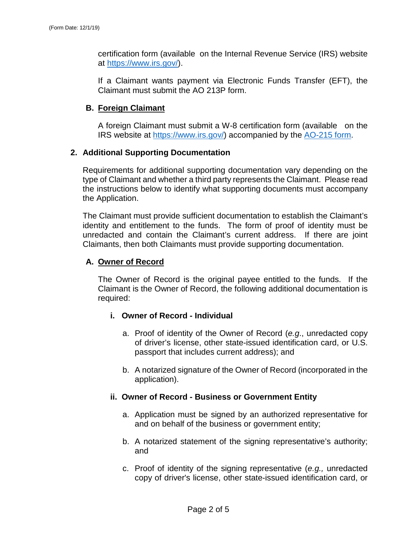certification form (available on the Internal Revenue Service (IRS) website at [https://www.irs.gov/\)](https://www.irs.gov/).

If a Claimant wants payment via Electronic Funds Transfer (EFT), the Claimant must submit the AO 213P form.

# **B. Foreign Claimant**

A foreign Claimant must submit a W-8 certification form (available on the IRS website at [https://www.irs.gov/\)](https://www.irs.gov/) accompanied by the [AO-215 form.](https://www.uscourts.gov/forms/other-forms)

# **2. Additional Supporting Documentation**

Requirements for additional supporting documentation vary depending on the type of Claimant and whether a third party represents the Claimant. Please read the instructions below to identify what supporting documents must accompany the Application.

The Claimant must provide sufficient documentation to establish the Claimant's identity and entitlement to the funds. The form of proof of identity must be unredacted and contain the Claimant's current address. If there are joint Claimants, then both Claimants must provide supporting documentation.

# **A. Owner of Record**

The Owner of Record is the original payee entitled to the funds. If the Claimant is the Owner of Record, the following additional documentation is required:

# **i. Owner of Record - Individual**

- a. Proof of identity of the Owner of Record (*e.g*., unredacted copy of driver's license, other state-issued identification card, or U.S. passport that includes current address); and
- b. A notarized signature of the Owner of Record (incorporated in the application).

# **ii. Owner of Record - Business or Government Entity**

- a. Application must be signed by an authorized representative for and on behalf of the business or government entity;
- b. A notarized statement of the signing representative's authority; and
- c. Proof of identity of the signing representative (*e.g.,* unredacted copy of driver's license, other state-issued identification card, or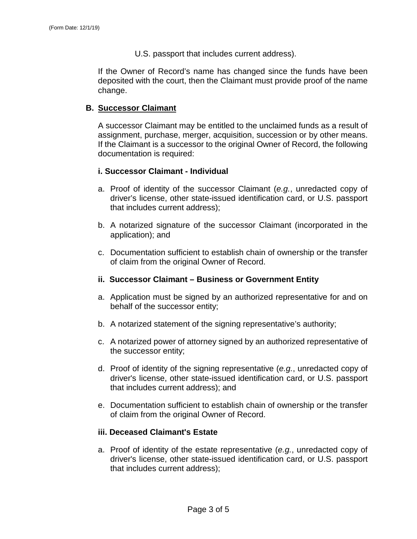U.S. passport that includes current address).

If the Owner of Record's name has changed since the funds have been deposited with the court, then the Claimant must provide proof of the name change.

### **B. Successor Claimant**

A successor Claimant may be entitled to the unclaimed funds as a result of assignment, purchase, merger, acquisition, succession or by other means. If the Claimant is a successor to the original Owner of Record, the following documentation is required:

#### **i. Successor Claimant - Individual**

- a. Proof of identity of the successor Claimant (*e.g.*, unredacted copy of driver's license, other state-issued identification card, or U.S. passport that includes current address);
- b. A notarized signature of the successor Claimant (incorporated in the application); and
- c. Documentation sufficient to establish chain of ownership or the transfer of claim from the original Owner of Record.

#### **ii. Successor Claimant – Business or Government Entity**

- a. Application must be signed by an authorized representative for and on behalf of the successor entity;
- b. A notarized statement of the signing representative's authority;
- c. A notarized power of attorney signed by an authorized representative of the successor entity;
- d. Proof of identity of the signing representative (*e.g.*, unredacted copy of driver's license, other state-issued identification card, or U.S. passport that includes current address); and
- e. Documentation sufficient to establish chain of ownership or the transfer of claim from the original Owner of Record.

#### **iii. Deceased Claimant's Estate**

a. Proof of identity of the estate representative (*e.g.*, unredacted copy of driver's license, other state-issued identification card, or U.S. passport that includes current address);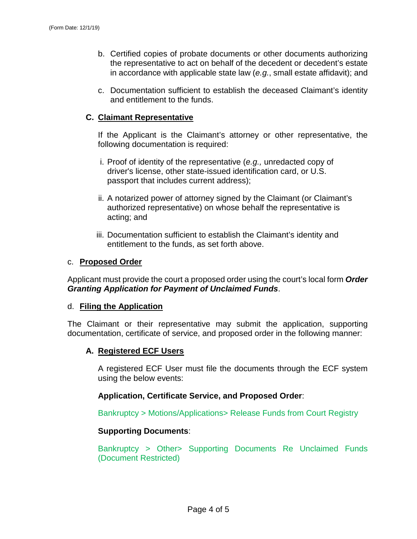- b. Certified copies of probate documents or other documents authorizing the representative to act on behalf of the decedent or decedent's estate in accordance with applicable state law (*e.g.*, small estate affidavit); and
- c. Documentation sufficient to establish the deceased Claimant's identity and entitlement to the funds.

# **C. Claimant Representative**

If the Applicant is the Claimant's attorney or other representative, the following documentation is required:

- i. Proof of identity of the representative (*e.g.,* unredacted copy of driver's license, other state-issued identification card, or U.S. passport that includes current address);
- ii. A notarized power of attorney signed by the Claimant (or Claimant's authorized representative) on whose behalf the representative is acting; and
- iii. Documentation sufficient to establish the Claimant's identity and entitlement to the funds, as set forth above.

# c. **Proposed Order**

Applicant must provide the court a proposed order using the court's local form *Order Granting Application for Payment of Unclaimed Funds*.

# d. **Filing the Application**

The Claimant or their representative may submit the application, supporting documentation, certificate of service, and proposed order in the following manner:

# **A. Registered ECF Users**

A registered ECF User must file the documents through the ECF system using the below events:

# **Application, Certificate Service, and Proposed Order**:

Bankruptcy > Motions/Applications> Release Funds from Court Registry

# **Supporting Documents**:

Bankruptcy > Other> Supporting Documents Re Unclaimed Funds (Document Restricted)